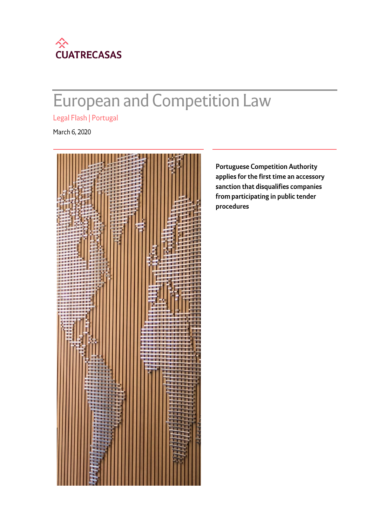

# **European and Competition Law**

Legal Flash | Portugal

March 6, 2020



**Portuguese Competition Authority** applies for the first time an accessory sanction that disqualifies companies from participating in public tender procedures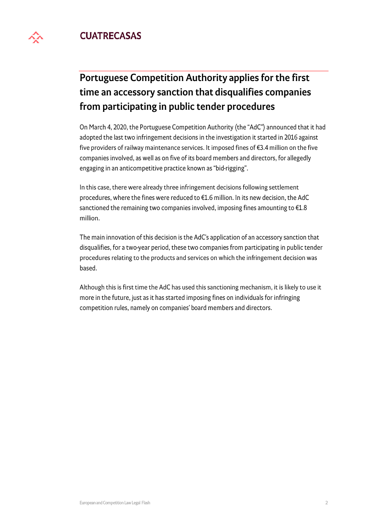## **CUATRECASAS**



On March 4, 2020, the Portuguese Competition Authority (the "AdC") announced that it had adopted the last two infringement decisions in the investigation it started in 2016 against five providers of railway maintenance services. It imposed fines of €3.4 million on the five companies involved, as well as on five of its board members and directors, for allegedly engaging in an anticompetitive practice known as "bid-rigging".

In this case, there were already three infringement decisions following settlement procedures, where the fines were reduced to €1.6 million. In its new decision, the AdC sanctioned the remaining two companies involved, imposing fines amounting to  $E1.8$ million.

The main innovation of this decision is the AdC's application of an accessory sanction that disqualifies, for a two-year period, these two companies from participating in public tender procedures relating to the products and services on which the infringement decision was based.

Although this is first time the AdC has used this sanctioning mechanism, it is likely to use it more in the future, just as it has started imposing fines on individuals for infringing competition rules, namely on companies' board members and directors.